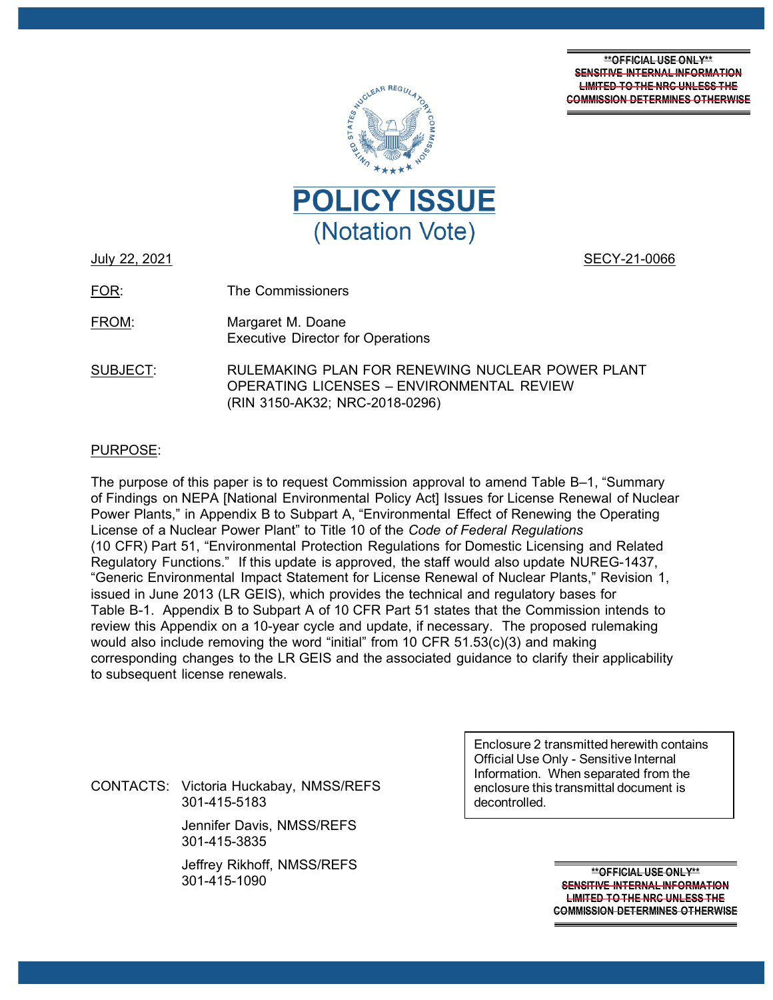#### **\*\*OFFICIAL USE ONLY\*\* SENSITIVE INTERNAL INFORMATION LIMITED TO THE NRC UNLESS THE COMMISSION DETERMINES OTHERWISE**



July 22, 2021 SECY-21-0066

FROM: Margaret M. Doane Executive Director for Operations

FOR: The Commissioners

SUBJECT: RULEMAKING PLAN FOR RENEWING NUCLEAR POWER PLANT OPERATING LICENSES – ENVIRONMENTAL REVIEW (RIN 3150-AK32; NRC-2018-0296)

## PURPOSE:

The purpose of this paper is to request Commission approval to amend Table B–1, "Summary of Findings on NEPA [National Environmental Policy Act] Issues for License Renewal of Nuclear Power Plants," in Appendix B to Subpart A, "Environmental Effect of Renewing the Operating License of a Nuclear Power Plant" to Title 10 of the *Code of Federal Regulations* (10 CFR) Part 51, "Environmental Protection Regulations for Domestic Licensing and Related Regulatory Functions." If this update is approved, the staff would also update NUREG-1437, "Generic Environmental Impact Statement for License Renewal of Nuclear Plants," Revision 1, issued in June 2013 (LR GEIS), which provides the technical and regulatory bases for Table B-1. Appendix B to Subpart A of 10 CFR Part 51 states that the Commission intends to review this Appendix on a 10-year cycle and update, if necessary. The proposed rulemaking would also include removing the word "initial" from 10 CFR 51.53(c)(3) and making corresponding changes to the LR GEIS and the associated guidance to clarify their applicability to subsequent license renewals.

CONTACTS: Victoria Huckabay, NMSS/REFS 301-415-5183 Jennifer Davis, NMSS/REFS 301-415-3835 Jeffrey Rikhoff, NMSS/REFS 301-415-1090

Enclosure 2 transmitted herewith contains Official Use Only - Sensitive Internal Information. When separated from the enclosure this transmittal document is decontrolled.

> **\*\*OFFICIAL USE ONLY\*\* SENSITIVE INTERNAL INFORMATION LIMITED TO THE NRC UNLESS THE COMMISSION DETERMINES OTHERWISE**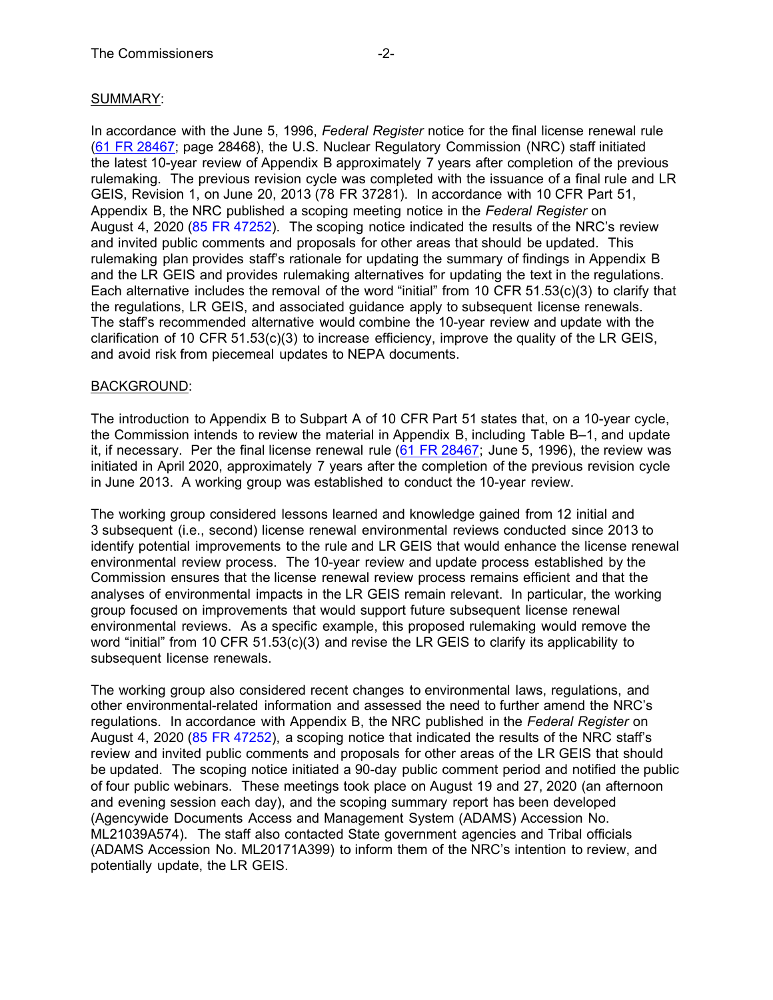## SUMMARY:

In accordance with the June 5, 1996, *Federal Register* notice for the final license renewal rule (61 FR [28467;](https://www.federalregister.gov/documents/1996/06/05/96-13874/environmental-review-for-renewal-of-nuclear-power-plant-operating-licenses) page 28468), the U.S. Nuclear Regulatory Commission (NRC) staff initiated the latest 10-year review of Appendix B approximately 7 years after completion of the previous rulemaking. The previous revision cycle was completed with the issuance of a final rule and LR GEIS, Revision 1, on June 20, 2013 (78 FR 37281). In accordance with 10 CFR Part 51, Appendix B, the NRC published a scoping meeting notice in the *Federal Register* on August 4, 2020 (85 FR [47252\).](https://www.federalregister.gov/documents/2020/08/04/2020-16952/notice-of-intent-to-review-and-update-the-generic-environmental-impact-statement-for-license-renewal) The scoping notice indicated the results of the NRC's review and invited public comments and proposals for other areas that should be updated. This rulemaking plan provides staff's rationale for updating the summary of findings in Appendix B and the LR GEIS and provides rulemaking alternatives for updating the text in the regulations. Each alternative includes the removal of the word "initial" from 10 CFR  $51.53(c)(3)$  to clarify that the regulations, LR GEIS, and associated guidance apply to subsequent license renewals. The staff's recommended alternative would combine the 10-year review and update with the clarification of 10 CFR 51.53(c)(3) to increase efficiency, improve the quality of the LR GEIS, and avoid risk from piecemeal updates to NEPA documents.

### BACKGROUND:

The introduction to Appendix B to Subpart A of 10 CFR Part 51 states that, on a 10-year cycle, the Commission intends to review the material in Appendix B, including Table B–1, and update it, if necessary. Per the final license renewal rule (61 FR [28467;](https://www.federalregister.gov/documents/1996/06/05/96-13874/environmental-review-for-renewal-of-nuclear-power-plant-operating-licenses) June 5, 1996), the review was initiated in April 2020, approximately 7 years after the completion of the previous revision cycle in June 2013. A working group was established to conduct the 10-year review.

The working group considered lessons learned and knowledge gained from 12 initial and 3 subsequent (i.e., second) license renewal environmental reviews conducted since 2013 to identify potential improvements to the rule and LR GEIS that would enhance the license renewal environmental review process. The 10-year review and update process established by the Commission ensures that the license renewal review process remains efficient and that the analyses of environmental impacts in the LR GEIS remain relevant. In particular, the working group focused on improvements that would support future subsequent license renewal environmental reviews. As a specific example, this proposed rulemaking would remove the word "initial" from 10 CFR 51.53(c)(3) and revise the LR GEIS to clarify its applicability to subsequent license renewals.

The working group also considered recent changes to environmental laws, regulations, and other environmental-related information and assessed the need to further amend the NRC's regulations. In accordance with Appendix B, the NRC published in the *Federal Register* on August 4, 2020 (85 FR [47252\),](https://www.federalregister.gov/documents/2020/08/04/2020-16952/notice-of-intent-to-review-and-update-the-generic-environmental-impact-statement-for-license-renewal) a scoping notice that indicated the results of the NRC staff's review and invited public comments and proposals for other areas of the LR GEIS that should be updated. The scoping notice initiated a 90-day public comment period and notified the public of four public webinars. These meetings took place on August 19 and 27, 2020 (an afternoon and evening session each day), and the scoping summary report has been developed (Agencywide Documents Access and Management System (ADAMS) Accession No. ML21039A574). The staff also contacted State government agencies and Tribal officials (ADAMS Accession No. ML20171A399) to inform them of the NRC's intention to review, and potentially update, the LR GEIS.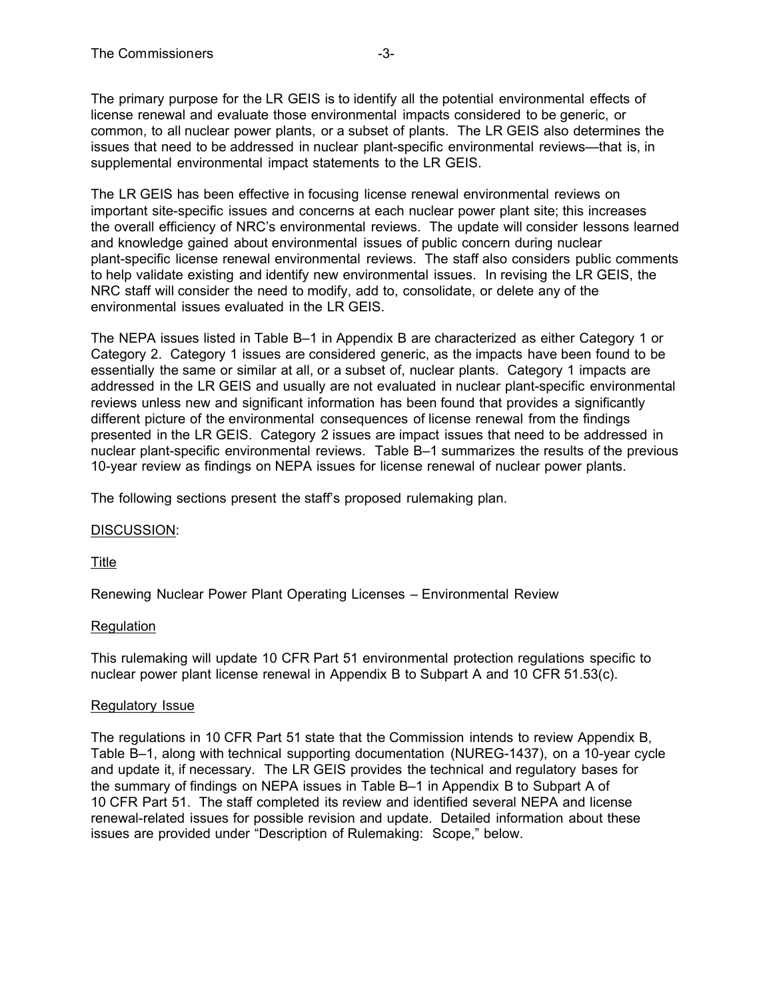The primary purpose for the LR GEIS is to identify all the potential environmental effects of license renewal and evaluate those environmental impacts considered to be generic, or common, to all nuclear power plants, or a subset of plants. The LR GEIS also determines the issues that need to be addressed in nuclear plant-specific environmental reviews—that is, in supplemental environmental impact statements to the LR GEIS.

The LR GEIS has been effective in focusing license renewal environmental reviews on important site-specific issues and concerns at each nuclear power plant site; this increases the overall efficiency of NRC's environmental reviews. The update will consider lessons learned and knowledge gained about environmental issues of public concern during nuclear plant-specific license renewal environmental reviews. The staff also considers public comments to help validate existing and identify new environmental issues. In revising the LR GEIS, the NRC staff will consider the need to modify, add to, consolidate, or delete any of the environmental issues evaluated in the LR GEIS.

The NEPA issues listed in Table B–1 in Appendix B are characterized as either Category 1 or Category 2. Category 1 issues are considered generic, as the impacts have been found to be essentially the same or similar at all, or a subset of, nuclear plants. Category 1 impacts are addressed in the LR GEIS and usually are not evaluated in nuclear plant-specific environmental reviews unless new and significant information has been found that provides a significantly different picture of the environmental consequences of license renewal from the findings presented in the LR GEIS. Category 2 issues are impact issues that need to be addressed in nuclear plant-specific environmental reviews. Table B–1 summarizes the results of the previous 10-year review as findings on NEPA issues for license renewal of nuclear power plants.

The following sections present the staff's proposed rulemaking plan.

## DISCUSSION:

Title

Renewing Nuclear Power Plant Operating Licenses – Environmental Review

### **Regulation**

This rulemaking will update 10 CFR Part 51 environmental protection regulations specific to nuclear power plant license renewal in Appendix B to Subpart A and 10 CFR 51.53(c).

### Regulatory Issue

The regulations in 10 CFR Part 51 state that the Commission intends to review Appendix B, Table B–1, along with technical supporting documentation (NUREG-1437), on a 10-year cycle and update it, if necessary. The LR GEIS provides the technical and regulatory bases for the summary of findings on NEPA issues in Table B–1 in Appendix B to Subpart A of 10 CFR Part 51. The staff completed its review and identified several NEPA and license renewal-related issues for possible revision and update. Detailed information about these issues are provided under "Description of Rulemaking: Scope," below.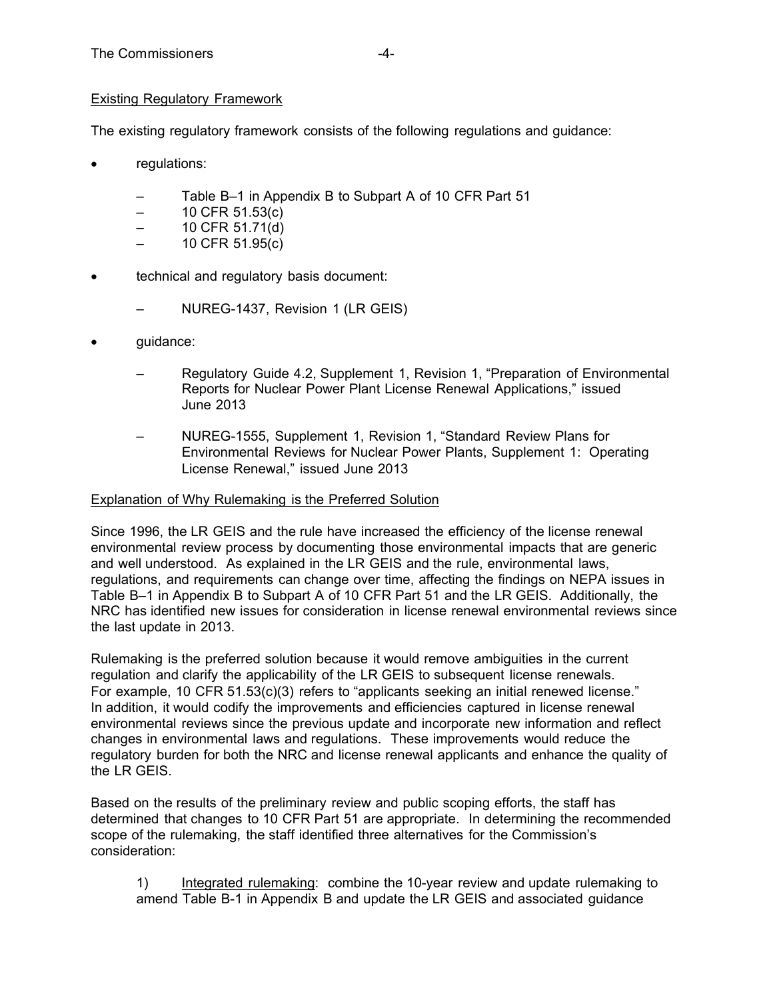# Existing Regulatory Framework

The existing regulatory framework consists of the following regulations and guidance:

- regulations:
	- Table B–1 in Appendix B to Subpart A of 10 CFR Part 51
	- $-$  10 CFR 51.53(c)
	- $-$  10 CFR 51.71(d)
	- $-$  10 CFR 51.95(c)
- technical and regulatory basis document:
	- NUREG-1437, Revision 1 (LR GEIS)
- guidance:
	- Regulatory Guide 4.2, Supplement 1, Revision 1, "Preparation of Environmental Reports for Nuclear Power Plant License Renewal Applications," issued June 2013
	- NUREG-1555, Supplement 1, Revision 1, "Standard Review Plans for Environmental Reviews for Nuclear Power Plants, Supplement 1: Operating License Renewal," issued June 2013

### Explanation of Why Rulemaking is the Preferred Solution

Since 1996, the LR GEIS and the rule have increased the efficiency of the license renewal environmental review process by documenting those environmental impacts that are generic and well understood. As explained in the LR GEIS and the rule, environmental laws, regulations, and requirements can change over time, affecting the findings on NEPA issues in Table B–1 in Appendix B to Subpart A of 10 CFR Part 51 and the LR GEIS. Additionally, the NRC has identified new issues for consideration in license renewal environmental reviews since the last update in 2013.

Rulemaking is the preferred solution because it would remove ambiguities in the current regulation and clarify the applicability of the LR GEIS to subsequent license renewals. For example, 10 CFR 51.53(c)(3) refers to "applicants seeking an initial renewed license." In addition, it would codify the improvements and efficiencies captured in license renewal environmental reviews since the previous update and incorporate new information and reflect changes in environmental laws and regulations. These improvements would reduce the regulatory burden for both the NRC and license renewal applicants and enhance the quality of the LR GEIS.

Based on the results of the preliminary review and public scoping efforts, the staff has determined that changes to 10 CFR Part 51 are appropriate. In determining the recommended scope of the rulemaking, the staff identified three alternatives for the Commission's consideration:

1) Integrated rulemaking: combine the 10-year review and update rulemaking to amend Table B-1 in Appendix B and update the LR GEIS and associated guidance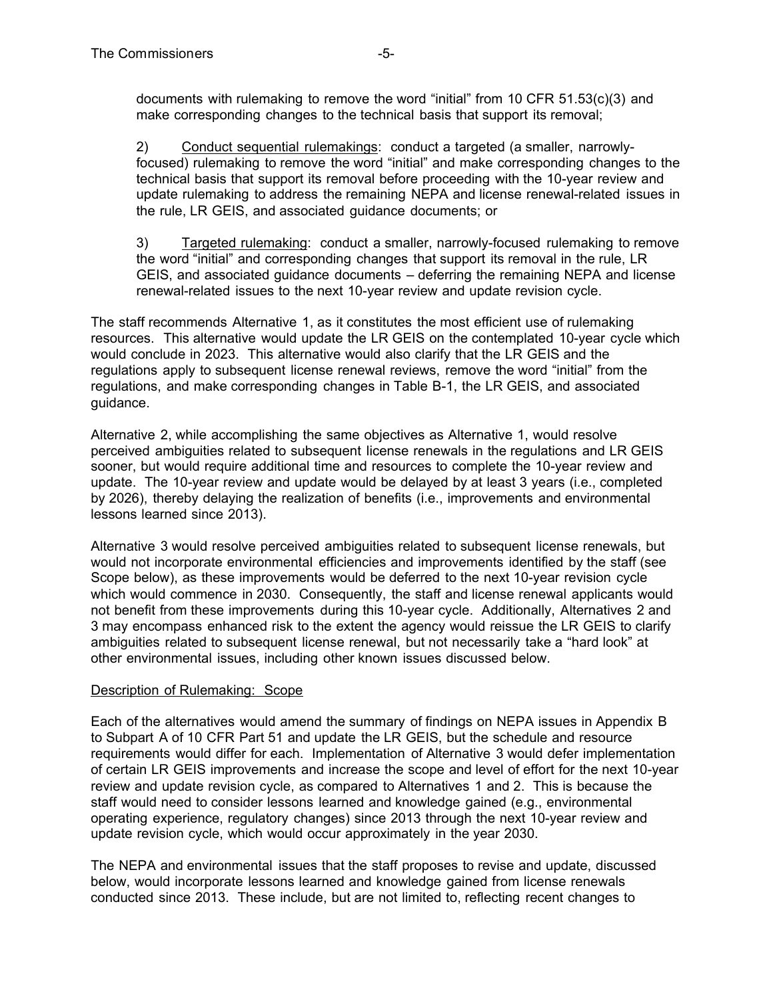2) Conduct sequential rulemakings: conduct a targeted (a smaller, narrowlyfocused) rulemaking to remove the word "initial" and make corresponding changes to the technical basis that support its removal before proceeding with the 10-year review and update rulemaking to address the remaining NEPA and license renewal-related issues in the rule, LR GEIS, and associated guidance documents; or

3) Targeted rulemaking: conduct a smaller, narrowly-focused rulemaking to remove the word "initial" and corresponding changes that support its removal in the rule, LR GEIS, and associated guidance documents – deferring the remaining NEPA and license renewal-related issues to the next 10-year review and update revision cycle.

The staff recommends Alternative 1, as it constitutes the most efficient use of rulemaking resources. This alternative would update the LR GEIS on the contemplated 10-year cycle which would conclude in 2023. This alternative would also clarify that the LR GEIS and the regulations apply to subsequent license renewal reviews, remove the word "initial" from the regulations, and make corresponding changes in Table B-1, the LR GEIS, and associated guidance.

Alternative 2, while accomplishing the same objectives as Alternative 1, would resolve perceived ambiguities related to subsequent license renewals in the regulations and LR GEIS sooner, but would require additional time and resources to complete the 10-year review and update. The 10-year review and update would be delayed by at least 3 years (i.e., completed by 2026), thereby delaying the realization of benefits (i.e., improvements and environmental lessons learned since 2013).

Alternative 3 would resolve perceived ambiguities related to subsequent license renewals, but would not incorporate environmental efficiencies and improvements identified by the staff (see Scope below), as these improvements would be deferred to the next 10-year revision cycle which would commence in 2030. Consequently, the staff and license renewal applicants would not benefit from these improvements during this 10-year cycle. Additionally, Alternatives 2 and 3 may encompass enhanced risk to the extent the agency would reissue the LR GEIS to clarify ambiguities related to subsequent license renewal, but not necessarily take a "hard look" at other environmental issues, including other known issues discussed below.

# Description of Rulemaking: Scope

Each of the alternatives would amend the summary of findings on NEPA issues in Appendix B to Subpart A of 10 CFR Part 51 and update the LR GEIS, but the schedule and resource requirements would differ for each. Implementation of Alternative 3 would defer implementation of certain LR GEIS improvements and increase the scope and level of effort for the next 10-year review and update revision cycle, as compared to Alternatives 1 and 2. This is because the staff would need to consider lessons learned and knowledge gained (e.g., environmental operating experience, regulatory changes) since 2013 through the next 10-year review and update revision cycle, which would occur approximately in the year 2030.

The NEPA and environmental issues that the staff proposes to revise and update, discussed below, would incorporate lessons learned and knowledge gained from license renewals conducted since 2013. These include, but are not limited to, reflecting recent changes to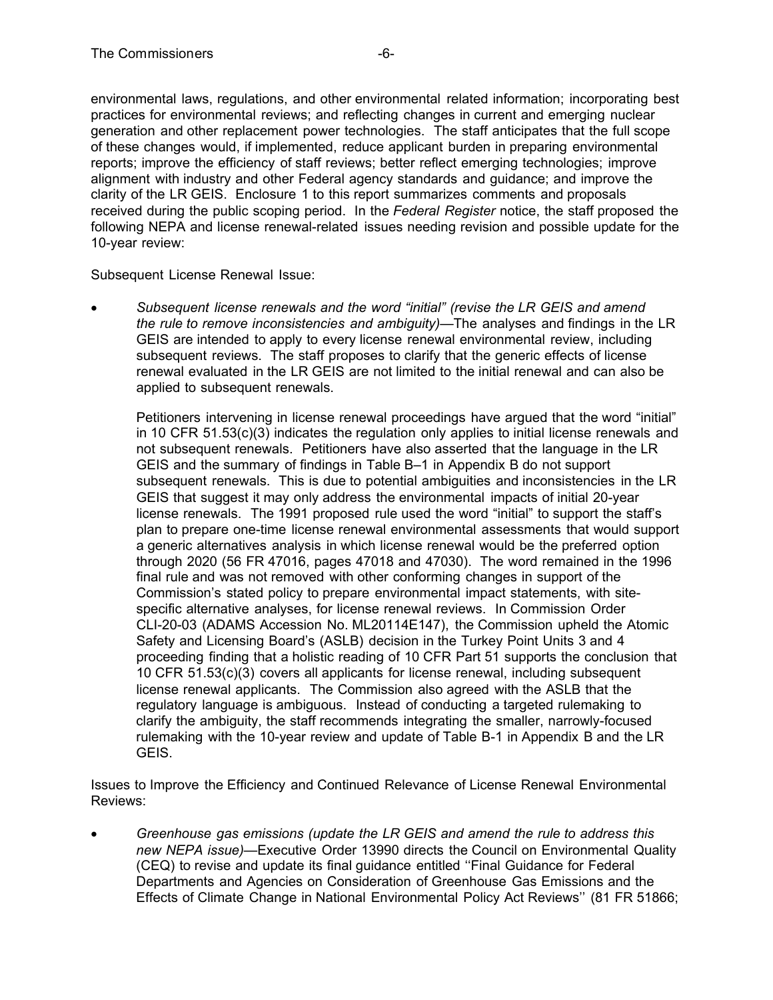environmental laws, regulations, and other environmental related information; incorporating best practices for environmental reviews; and reflecting changes in current and emerging nuclear generation and other replacement power technologies. The staff anticipates that the full scope of these changes would, if implemented, reduce applicant burden in preparing environmental reports; improve the efficiency of staff reviews; better reflect emerging technologies; improve alignment with industry and other Federal agency standards and guidance; and improve the clarity of the LR GEIS. Enclosure 1 to this report summarizes comments and proposals received during the public scoping period. In the *Federal Register* notice, the staff proposed the following NEPA and license renewal-related issues needing revision and possible update for the 10-year review:

Subsequent License Renewal Issue:

• *Subsequent license renewals and the word "initial" (revise the LR GEIS and amend the rule to remove inconsistencies and ambiguity)*—The analyses and findings in the LR GEIS are intended to apply to every license renewal environmental review, including subsequent reviews. The staff proposes to clarify that the generic effects of license renewal evaluated in the LR GEIS are not limited to the initial renewal and can also be applied to subsequent renewals.

Petitioners intervening in license renewal proceedings have argued that the word "initial" in 10 CFR 51.53(c)(3) indicates the regulation only applies to initial license renewals and not subsequent renewals. Petitioners have also asserted that the language in the LR GEIS and the summary of findings in Table B–1 in Appendix B do not support subsequent renewals. This is due to potential ambiguities and inconsistencies in the LR GEIS that suggest it may only address the environmental impacts of initial 20-year license renewals. The 1991 proposed rule used the word "initial" to support the staff's plan to prepare one-time license renewal environmental assessments that would support a generic alternatives analysis in which license renewal would be the preferred option through 2020 (56 FR 47016, pages 47018 and 47030). The word remained in the 1996 final rule and was not removed with other conforming changes in support of the Commission's stated policy to prepare environmental impact statements, with sitespecific alternative analyses, for license renewal reviews. In Commission Order CLI-20-03 (ADAMS Accession No. ML20114E147), the Commission upheld the Atomic Safety and Licensing Board's (ASLB) decision in the Turkey Point Units 3 and 4 proceeding finding that a holistic reading of 10 CFR Part 51 supports the conclusion that 10 CFR 51.53(c)(3) covers all applicants for license renewal, including subsequent license renewal applicants. The Commission also agreed with the ASLB that the regulatory language is ambiguous. Instead of conducting a targeted rulemaking to clarify the ambiguity, the staff recommends integrating the smaller, narrowly-focused rulemaking with the 10-year review and update of Table B-1 in Appendix B and the LR GEIS.

Issues to Improve the Efficiency and Continued Relevance of License Renewal Environmental Reviews:

• *Greenhouse gas emissions (update the LR GEIS and amend the rule to address this new NEPA issue)*—Executive Order 13990 directs the Council on Environmental Quality (CEQ) to revise and update its final guidance entitled ''Final Guidance for Federal Departments and Agencies on Consideration of Greenhouse Gas Emissions and the Effects of Climate Change in National Environmental Policy Act Reviews'' (81 FR 51866;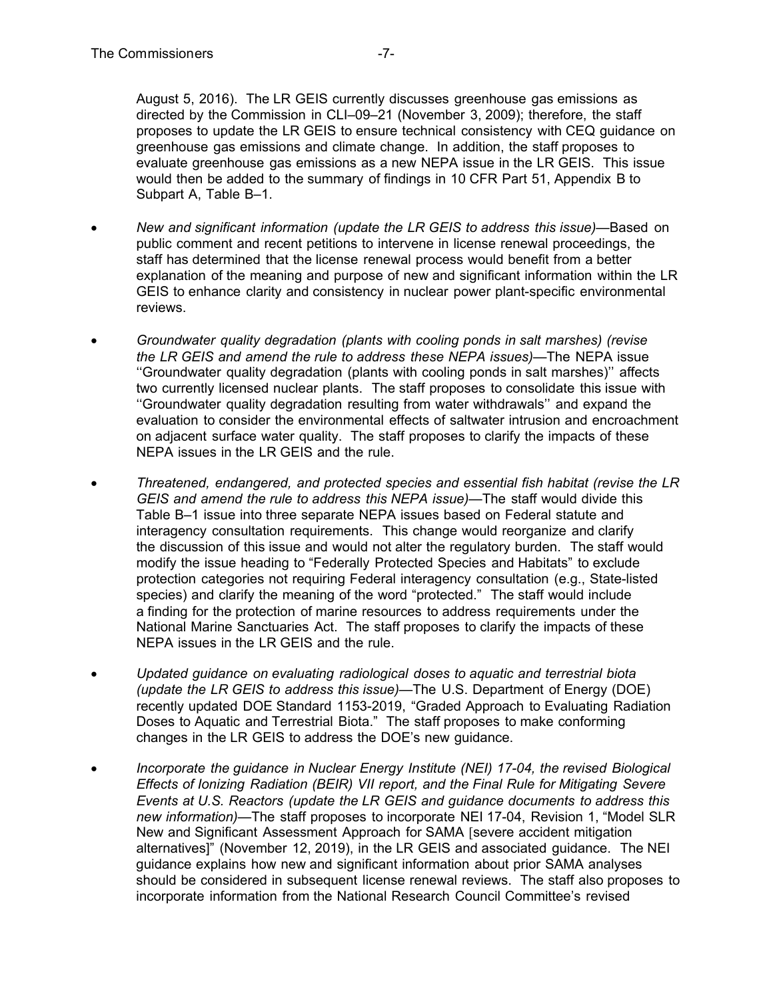August 5, 2016). The LR GEIS currently discusses greenhouse gas emissions as directed by the Commission in CLI–09–21 (November 3, 2009); therefore, the staff proposes to update the LR GEIS to ensure technical consistency with CEQ guidance on greenhouse gas emissions and climate change. In addition, the staff proposes to evaluate greenhouse gas emissions as a new NEPA issue in the LR GEIS. This issue would then be added to the summary of findings in 10 CFR Part 51, Appendix B to Subpart A, Table B–1.

- *New and significant information (update the LR GEIS to address this issue)***—Based on** public comment and recent petitions to intervene in license renewal proceedings, the staff has determined that the license renewal process would benefit from a better explanation of the meaning and purpose of new and significant information within the LR GEIS to enhance clarity and consistency in nuclear power plant-specific environmental reviews.
- *Groundwater quality degradation (plants with cooling ponds in salt marshes) (revise the LR GEIS and amend the rule to address these NEPA issues)*—The NEPA issue ''Groundwater quality degradation (plants with cooling ponds in salt marshes)'' affects two currently licensed nuclear plants. The staff proposes to consolidate this issue with ''Groundwater quality degradation resulting from water withdrawals'' and expand the evaluation to consider the environmental effects of saltwater intrusion and encroachment on adjacent surface water quality. The staff proposes to clarify the impacts of these NEPA issues in the LR GEIS and the rule.
- *Threatened, endangered, and protected species and essential fish habitat (revise the LR GEIS and amend the rule to address this NEPA issue)*—The staff would divide this Table B–1 issue into three separate NEPA issues based on Federal statute and interagency consultation requirements. This change would reorganize and clarify the discussion of this issue and would not alter the regulatory burden. The staff would modify the issue heading to "Federally Protected Species and Habitats" to exclude protection categories not requiring Federal interagency consultation (e.g., State-listed species) and clarify the meaning of the word "protected." The staff would include a finding for the protection of marine resources to address requirements under the National Marine Sanctuaries Act. The staff proposes to clarify the impacts of these NEPA issues in the LR GEIS and the rule.
- *Updated guidance on evaluating radiological doses to aquatic and terrestrial biota (update the LR GEIS to address this issue)*—The U.S. Department of Energy (DOE) recently updated DOE Standard 1153-2019, "Graded Approach to Evaluating Radiation Doses to Aquatic and Terrestrial Biota." The staff proposes to make conforming changes in the LR GEIS to address the DOE's new guidance.
- *Incorporate the guidance in Nuclear Energy Institute (NEI) 17-04, the revised Biological Effects of Ionizing Radiation (BEIR) VII report, and the Final Rule for Mitigating Severe Events at U.S. Reactors (update the LR GEIS and guidance documents to address this new information)*—The staff proposes to incorporate NEI 17-04, Revision 1, "Model SLR New and Significant Assessment Approach for SAMA [severe accident mitigation alternatives]" (November 12, 2019), in the LR GEIS and associated guidance. The NEI guidance explains how new and significant information about prior SAMA analyses should be considered in subsequent license renewal reviews. The staff also proposes to incorporate information from the National Research Council Committee's revised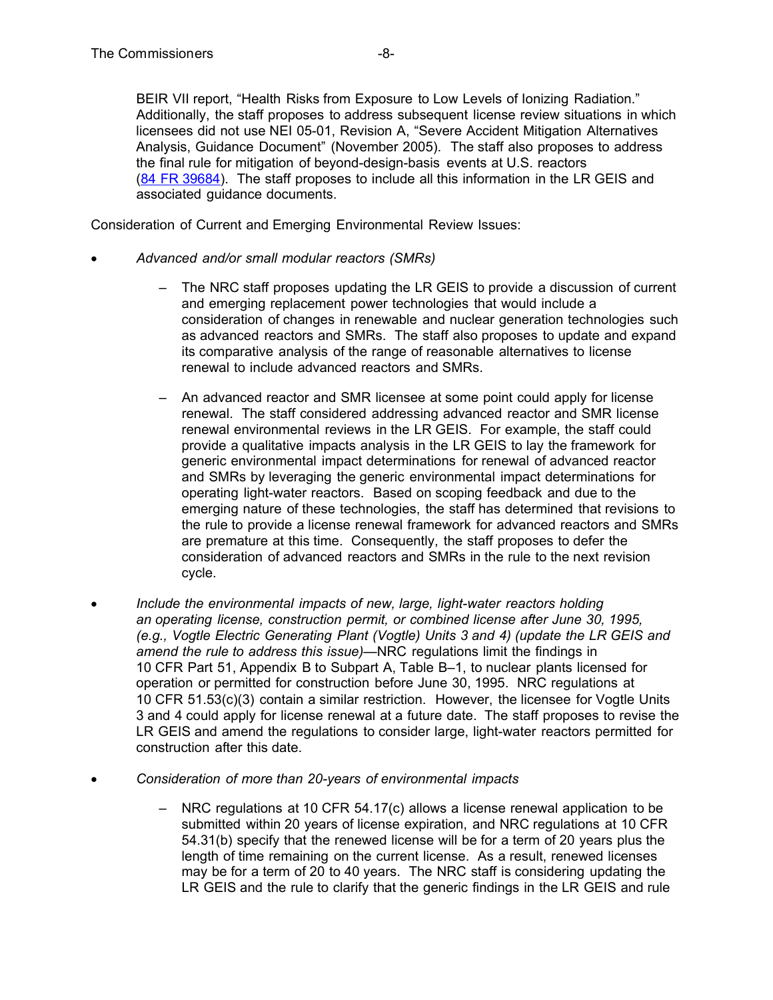BEIR VII report, "Health Risks from Exposure to Low Levels of Ionizing Radiation." Additionally, the staff proposes to address subsequent license review situations in which licensees did not use NEI 05-01, Revision A, "Severe Accident Mitigation Alternatives Analysis, Guidance Document" (November 2005). The staff also proposes to address the final rule for mitigation of beyond-design-basis events at U.S. reactors (84 FR [39684\)](https://www.govinfo.gov/content/pkg/FR-2019-08-09/pdf/2019-16600.pdf). The staff proposes to include all this information in the LR GEIS and associated guidance documents.

Consideration of Current and Emerging Environmental Review Issues:

- *Advanced and/or small modular reactors (SMRs)*
	- ‒ The NRC staff proposes updating the LR GEIS to provide a discussion of current and emerging replacement power technologies that would include a consideration of changes in renewable and nuclear generation technologies such as advanced reactors and SMRs. The staff also proposes to update and expand its comparative analysis of the range of reasonable alternatives to license renewal to include advanced reactors and SMRs.
	- ‒ An advanced reactor and SMR licensee at some point could apply for license renewal. The staff considered addressing advanced reactor and SMR license renewal environmental reviews in the LR GEIS. For example, the staff could provide a qualitative impacts analysis in the LR GEIS to lay the framework for generic environmental impact determinations for renewal of advanced reactor and SMRs by leveraging the generic environmental impact determinations for operating light-water reactors. Based on scoping feedback and due to the emerging nature of these technologies, the staff has determined that revisions to the rule to provide a license renewal framework for advanced reactors and SMRs are premature at this time. Consequently, the staff proposes to defer the consideration of advanced reactors and SMRs in the rule to the next revision cycle.
- *Include the environmental impacts of new, large, light-water reactors holding an operating license, construction permit, or combined license after June 30, 1995, (e.g., Vogtle Electric Generating Plant (Vogtle) Units 3 and 4) (update the LR GEIS and amend the rule to address this issue)*—NRC regulations limit the findings in 10 CFR Part 51, Appendix B to Subpart A, Table B–1, to nuclear plants licensed for operation or permitted for construction before June 30, 1995. NRC regulations at 10 CFR 51.53(c)(3) contain a similar restriction. However, the licensee for Vogtle Units 3 and 4 could apply for license renewal at a future date. The staff proposes to revise the LR GEIS and amend the regulations to consider large, light-water reactors permitted for construction after this date.
- *Consideration of more than 20-years of environmental impacts*
	- ‒ NRC regulations at 10 CFR 54.17(c) allows a license renewal application to be submitted within 20 years of license expiration, and NRC regulations at 10 CFR 54.31(b) specify that the renewed license will be for a term of 20 years plus the length of time remaining on the current license. As a result, renewed licenses may be for a term of 20 to 40 years. The NRC staff is considering updating the LR GEIS and the rule to clarify that the generic findings in the LR GEIS and rule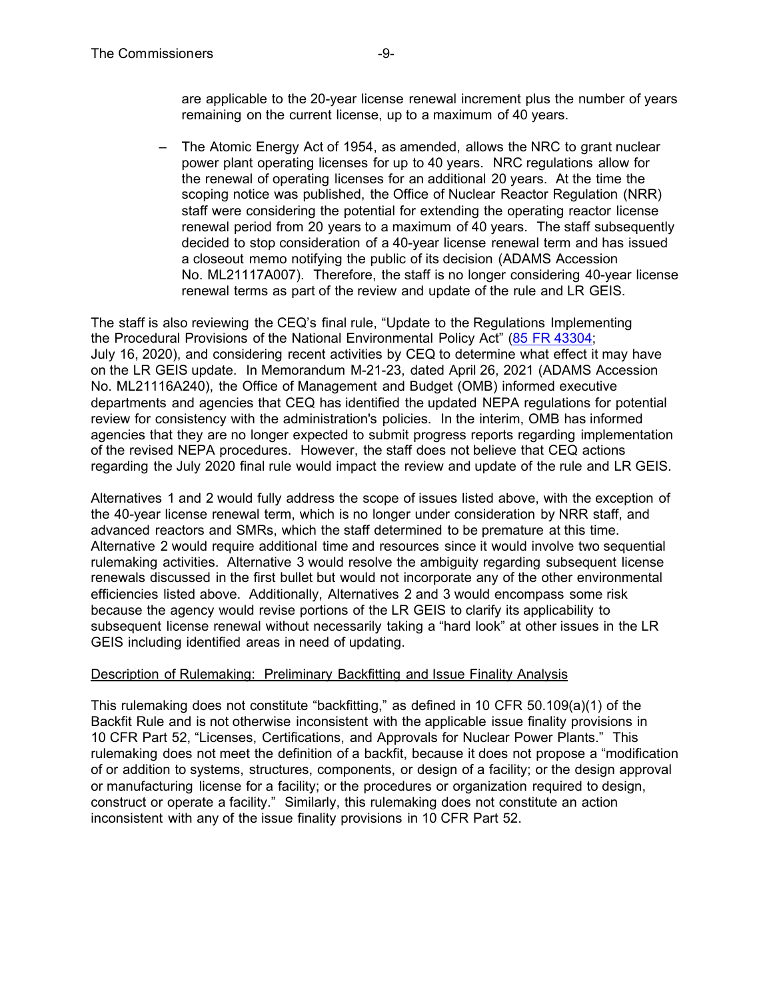‒ The Atomic Energy Act of 1954, as amended, allows the NRC to grant nuclear power plant operating licenses for up to 40 years. NRC regulations allow for the renewal of operating licenses for an additional 20 years. At the time the scoping notice was published, the Office of Nuclear Reactor Regulation (NRR) staff were considering the potential for extending the operating reactor license renewal period from 20 years to a maximum of 40 years. The staff subsequently decided to stop consideration of a 40-year license renewal term and has issued a closeout memo notifying the public of its decision (ADAMS Accession No. ML21117A007). Therefore, the staff is no longer considering 40-year license renewal terms as part of the review and update of the rule and LR GEIS.

The staff is also reviewing the CEQ's final rule, "Update to the Regulations Implementing the Procedural Provisions of the National Environmental Policy Act" (85 FR [43304;](https://www.govinfo.gov/content/pkg/FR-2020-07-16/pdf/2020-15179.pdf) July 16, 2020), and considering recent activities by CEQ to determine what effect it may have on the LR GEIS update. In Memorandum M-21-23, dated April 26, 2021 (ADAMS Accession No. ML21116A240), the Office of Management and Budget (OMB) informed executive departments and agencies that CEQ has identified the updated NEPA regulations for potential review for consistency with the administration's policies. In the interim, OMB has informed agencies that they are no longer expected to submit progress reports regarding implementation of the revised NEPA procedures. However, the staff does not believe that CEQ actions regarding the July 2020 final rule would impact the review and update of the rule and LR GEIS.

Alternatives 1 and 2 would fully address the scope of issues listed above, with the exception of the 40-year license renewal term, which is no longer under consideration by NRR staff, and advanced reactors and SMRs, which the staff determined to be premature at this time. Alternative 2 would require additional time and resources since it would involve two sequential rulemaking activities. Alternative 3 would resolve the ambiguity regarding subsequent license renewals discussed in the first bullet but would not incorporate any of the other environmental efficiencies listed above. Additionally, Alternatives 2 and 3 would encompass some risk because the agency would revise portions of the LR GEIS to clarify its applicability to subsequent license renewal without necessarily taking a "hard look" at other issues in the LR GEIS including identified areas in need of updating.

## Description of Rulemaking: Preliminary Backfitting and Issue Finality Analysis

This rulemaking does not constitute "backfitting," as defined in 10 CFR 50.109(a)(1) of the Backfit Rule and is not otherwise inconsistent with the applicable issue finality provisions in 10 CFR Part 52, "Licenses, Certifications, and Approvals for Nuclear Power Plants." This rulemaking does not meet the definition of a backfit, because it does not propose a "modification of or addition to systems, structures, components, or design of a facility; or the design approval or manufacturing license for a facility; or the procedures or organization required to design, construct or operate a facility." Similarly, this rulemaking does not constitute an action inconsistent with any of the issue finality provisions in 10 CFR Part 52.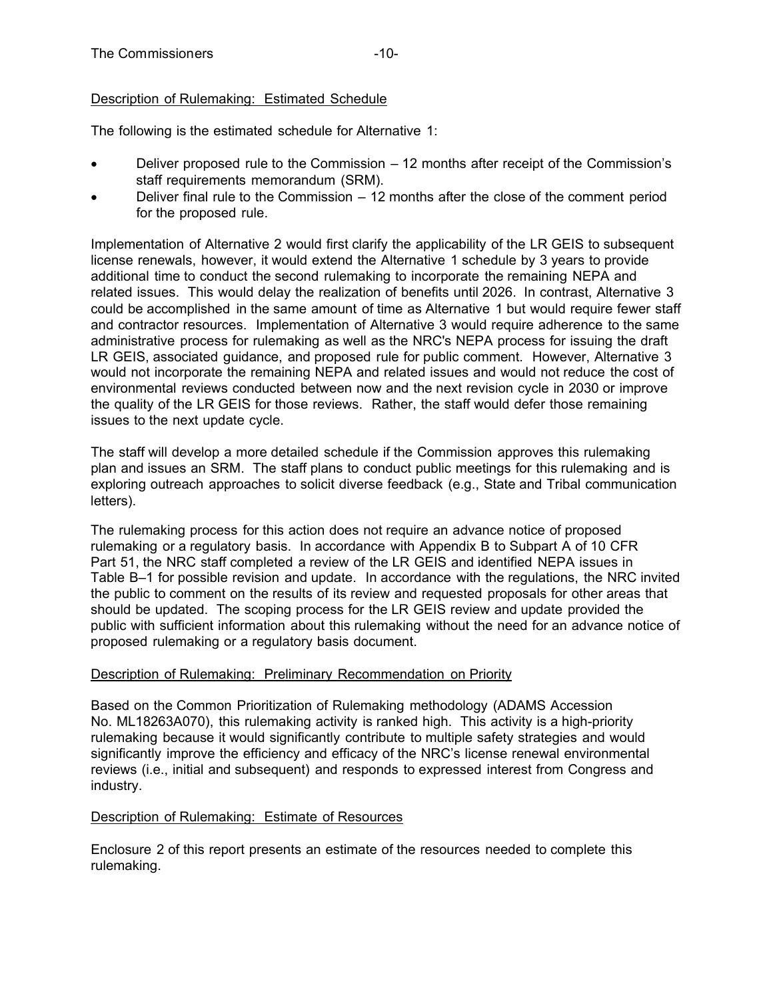# Description of Rulemaking: Estimated Schedule

The following is the estimated schedule for Alternative 1:

- Deliver proposed rule to the Commission 12 months after receipt of the Commission's staff requirements memorandum (SRM).
- Deliver final rule to the Commission  $-12$  months after the close of the comment period for the proposed rule.

Implementation of Alternative 2 would first clarify the applicability of the LR GEIS to subsequent license renewals, however, it would extend the Alternative 1 schedule by 3 years to provide additional time to conduct the second rulemaking to incorporate the remaining NEPA and related issues. This would delay the realization of benefits until 2026. In contrast, Alternative 3 could be accomplished in the same amount of time as Alternative 1 but would require fewer staff and contractor resources. Implementation of Alternative 3 would require adherence to the same administrative process for rulemaking as well as the NRC's NEPA process for issuing the draft LR GEIS, associated guidance, and proposed rule for public comment. However, Alternative 3 would not incorporate the remaining NEPA and related issues and would not reduce the cost of environmental reviews conducted between now and the next revision cycle in 2030 or improve the quality of the LR GEIS for those reviews. Rather, the staff would defer those remaining issues to the next update cycle.

The staff will develop a more detailed schedule if the Commission approves this rulemaking plan and issues an SRM. The staff plans to conduct public meetings for this rulemaking and is exploring outreach approaches to solicit diverse feedback (e.g., State and Tribal communication letters).

The rulemaking process for this action does not require an advance notice of proposed rulemaking or a regulatory basis. In accordance with Appendix B to Subpart A of 10 CFR Part 51, the NRC staff completed a review of the LR GEIS and identified NEPA issues in Table B–1 for possible revision and update. In accordance with the regulations, the NRC invited the public to comment on the results of its review and requested proposals for other areas that should be updated. The scoping process for the LR GEIS review and update provided the public with sufficient information about this rulemaking without the need for an advance notice of proposed rulemaking or a regulatory basis document.

## Description of Rulemaking: Preliminary Recommendation on Priority

Based on the Common Prioritization of Rulemaking methodology (ADAMS Accession No. ML18263A070), this rulemaking activity is ranked high. This activity is a high-priority rulemaking because it would significantly contribute to multiple safety strategies and would significantly improve the efficiency and efficacy of the NRC's license renewal environmental reviews (i.e., initial and subsequent) and responds to expressed interest from Congress and industry.

## Description of Rulemaking: Estimate of Resources

Enclosure 2 of this report presents an estimate of the resources needed to complete this rulemaking.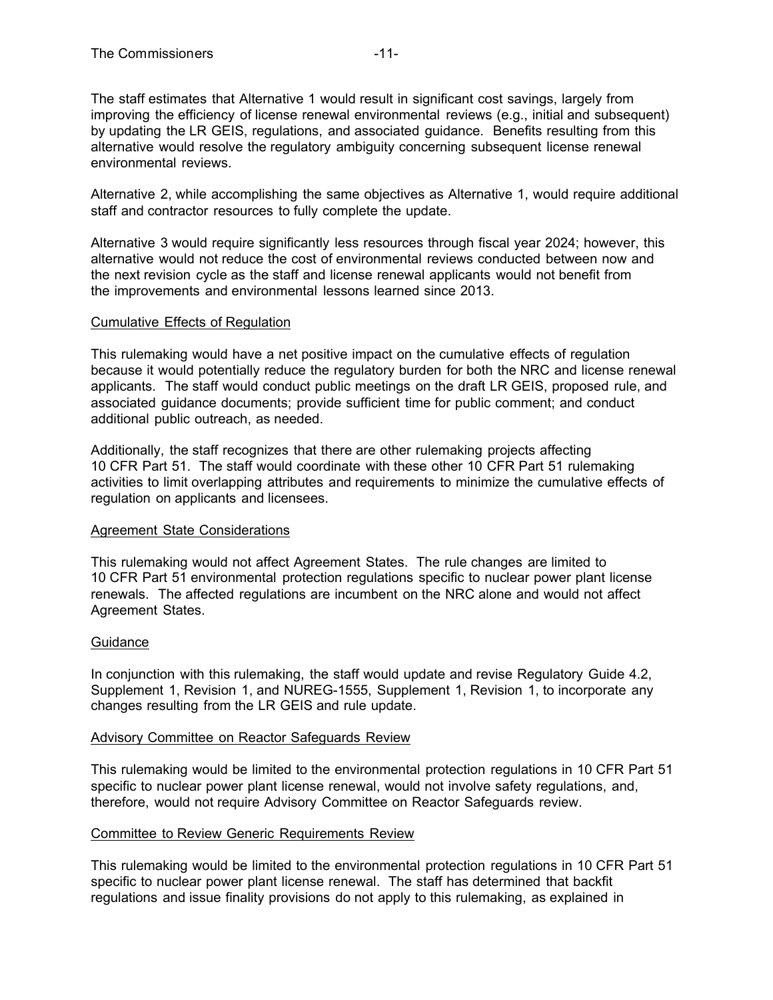The staff estimates that Alternative 1 would result in significant cost savings, largely from improving the efficiency of license renewal environmental reviews (e.g., initial and subsequent) by updating the LR GEIS, regulations, and associated guidance. Benefits resulting from this alternative would resolve the regulatory ambiguity concerning subsequent license renewal environmental reviews.

Alternative 2, while accomplishing the same objectives as Alternative 1, would require additional staff and contractor resources to fully complete the update.

Alternative 3 would require significantly less resources through fiscal year 2024; however, this alternative would not reduce the cost of environmental reviews conducted between now and the next revision cycle as the staff and license renewal applicants would not benefit from the improvements and environmental lessons learned since 2013.

### Cumulative Effects of Regulation

This rulemaking would have a net positive impact on the cumulative effects of regulation because it would potentially reduce the regulatory burden for both the NRC and license renewal applicants. The staff would conduct public meetings on the draft LR GEIS, proposed rule, and associated guidance documents; provide sufficient time for public comment; and conduct additional public outreach, as needed.

Additionally, the staff recognizes that there are other rulemaking projects affecting 10 CFR Part 51. The staff would coordinate with these other 10 CFR Part 51 rulemaking activities to limit overlapping attributes and requirements to minimize the cumulative effects of regulation on applicants and licensees.

### Agreement State Considerations

This rulemaking would not affect Agreement States. The rule changes are limited to 10 CFR Part 51 environmental protection regulations specific to nuclear power plant license renewals. The affected regulations are incumbent on the NRC alone and would not affect Agreement States.

### Guidance

In conjunction with this rulemaking, the staff would update and revise Regulatory Guide 4.2, Supplement 1, Revision 1, and NUREG-1555, Supplement 1, Revision 1, to incorporate any changes resulting from the LR GEIS and rule update.

### Advisory Committee on Reactor Safeguards Review

This rulemaking would be limited to the environmental protection regulations in 10 CFR Part 51 specific to nuclear power plant license renewal, would not involve safety regulations, and, therefore, would not require Advisory Committee on Reactor Safeguards review.

### Committee to Review Generic Requirements Review

This rulemaking would be limited to the environmental protection regulations in 10 CFR Part 51 specific to nuclear power plant license renewal. The staff has determined that backfit regulations and issue finality provisions do not apply to this rulemaking, as explained in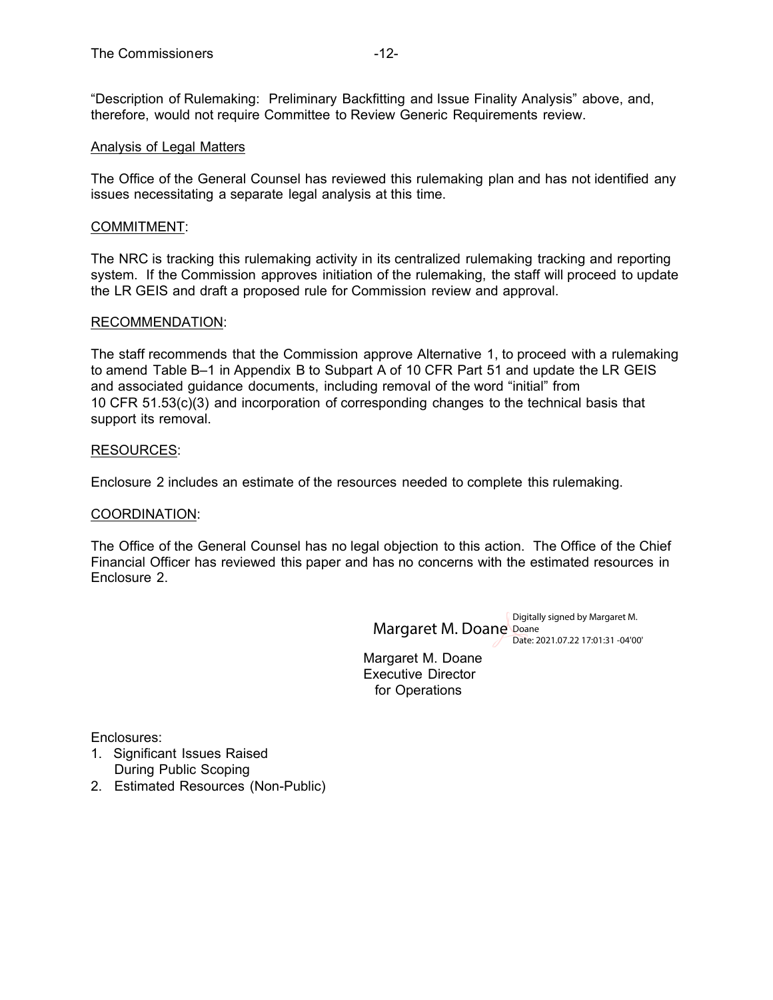"Description of Rulemaking: Preliminary Backfitting and Issue Finality Analysis" above, and, therefore, would not require Committee to Review Generic Requirements review.

### Analysis of Legal Matters

The Office of the General Counsel has reviewed this rulemaking plan and has not identified any issues necessitating a separate legal analysis at this time.

#### COMMITMENT:

The NRC is tracking this rulemaking activity in its centralized rulemaking tracking and reporting system. If the Commission approves initiation of the rulemaking, the staff will proceed to update the LR GEIS and draft a proposed rule for Commission review and approval.

#### RECOMMENDATION:

The staff recommends that the Commission approve Alternative 1, to proceed with a rulemaking to amend Table B–1 in Appendix B to Subpart A of 10 CFR Part 51 and update the LR GEIS and associated guidance documents, including removal of the word "initial" from 10 CFR 51.53(c)(3) and incorporation of corresponding changes to the technical basis that support its removal.

#### RESOURCES:

Enclosure 2 includes an estimate of the resources needed to complete this rulemaking.

#### COORDINATION:

The Office of the General Counsel has no legal objection to this action. The Office of the Chief Financial Officer has reviewed this paper and has no concerns with the estimated resources in Enclosure 2.

> Margaret M. Doane Doane Digitally signed by Margaret M. Date: 2021.07.22 17:01:31 -04'00'

Margaret M. Doane Executive Director for Operations

Enclosures:

- 1. Significant Issues Raised During Public Scoping
- 2. Estimated Resources (Non-Public)